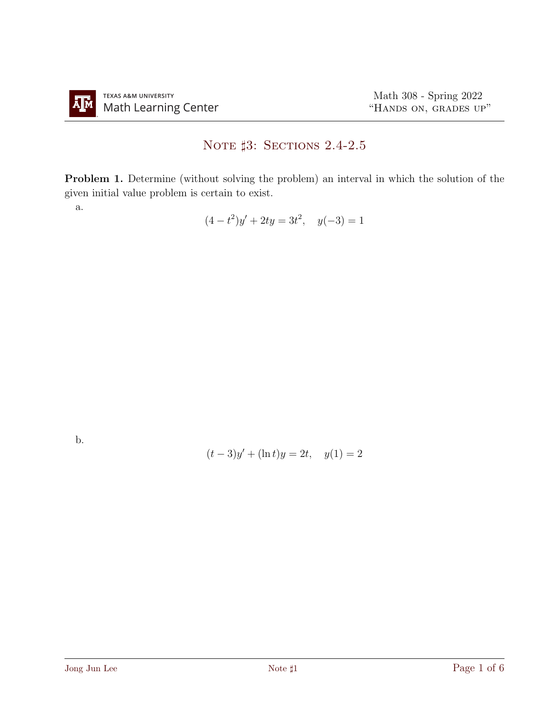## NOTE  $\sharp 3$ : Sections 2.4-2.5

Problem 1. Determine (without solving the problem) an interval in which the solution of the given initial value problem is certain to exist.

a.

$$
(4 - t^2)y' + 2ty = 3t^2, \quad y(-3) = 1
$$

b.

$$
(t-3)y' + (\ln t)y = 2t, \quad y(1) = 2
$$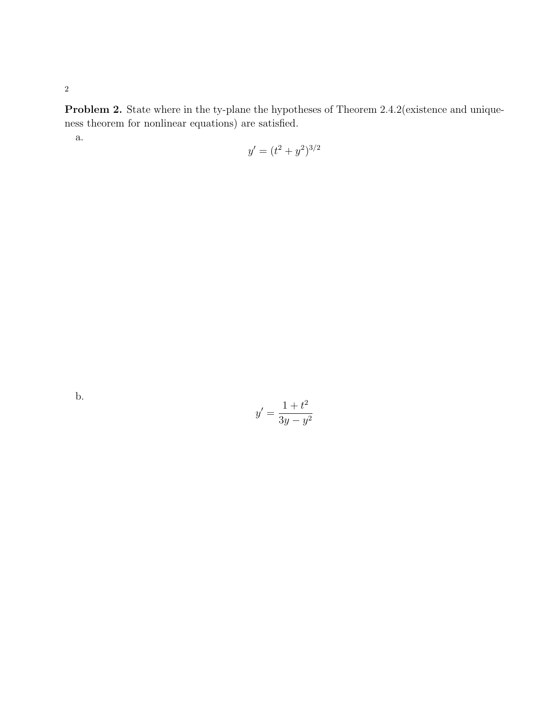Problem 2. State where in the ty-plane the hypotheses of Theorem 2.4.2(existence and uniqueness theorem for nonlinear equations) are satisfied.

a.

$$
y' = (t^2 + y^2)^{3/2}
$$

b.

$$
y' = \frac{1+t^2}{3y-y^2}
$$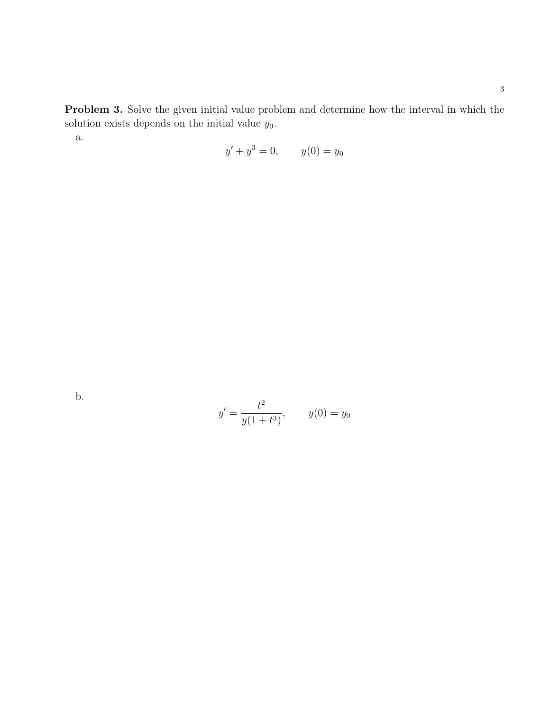Problem 3. Solve the given initial value problem and determine how the interval in which the solution exists depends on the initial value  $y_0$ .

a.

$$
y' + y^3 = 0, \qquad y(0) = y_0
$$

b.

$$
y' = \frac{t^2}{y(1+t^3)},
$$
  $y(0) = y_0$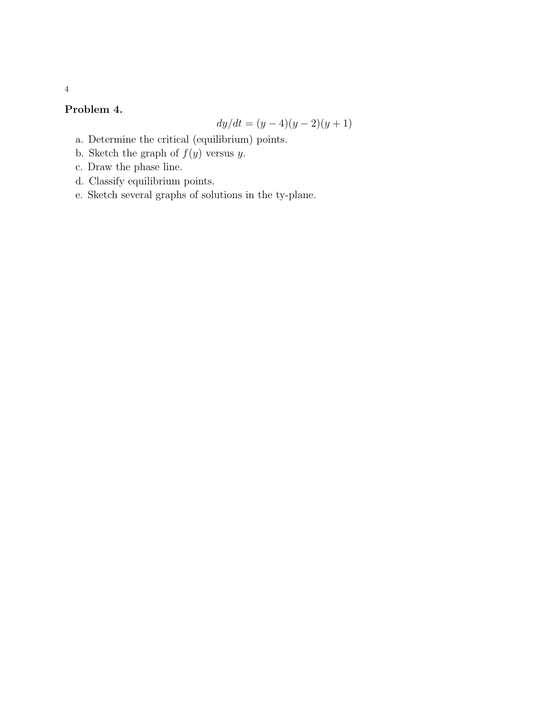## Problem 4.

$$
dy/dt = (y-4)(y-2)(y+1)
$$

- a. Determine the critical (equilibrium) points.
- b. Sketch the graph of  $f(y)$  versus y.
- c. Draw the phase line.
- d. Classify equilibrium points.
- e. Sketch several graphs of solutions in the ty-plane.

4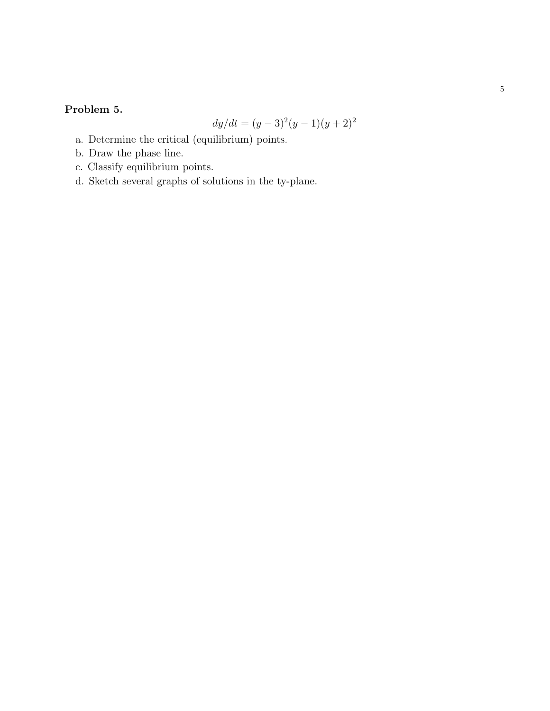## Problem 5.

$$
dy/dt = (y-3)^2(y-1)(y+2)^2
$$

- a. Determine the critical (equilibrium) points.
- b. Draw the phase line.
- c. Classify equilibrium points.
- d. Sketch several graphs of solutions in the ty-plane.